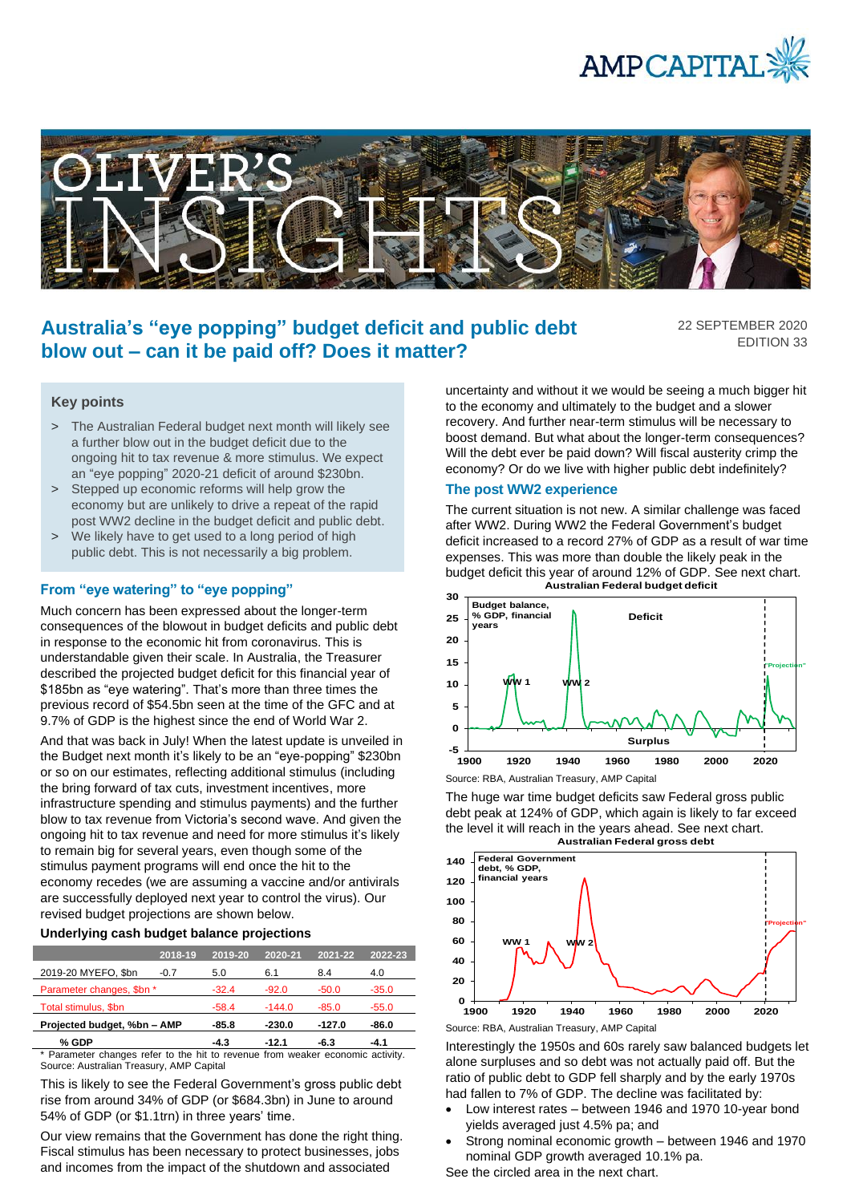



# **Australia's "eye popping" budget deficit and public debt blow out – can it be paid off? Does it matter?**

22 SEPTEMBER 2020 EDITION 33

## **Key points**

- > The Australian Federal budget next month will likely see a further blow out in the budget deficit due to the ongoing hit to tax revenue & more stimulus. We expect an "eye popping" 2020-21 deficit of around \$230bn.
- > Stepped up economic reforms will help grow the economy but are unlikely to drive a repeat of the rapid post WW2 decline in the budget deficit and public debt.
- > We likely have to get used to a long period of high public debt. This is not necessarily a big problem.

## **From "eye watering" to "eye popping"**

Much concern has been expressed about the longer-term consequences of the blowout in budget deficits and public debt in response to the economic hit from coronavirus. This is understandable given their scale. In Australia, the Treasurer described the projected budget deficit for this financial year of \$185bn as "eye watering". That's more than three times the previous record of \$54.5bn seen at the time of the GFC and at 9.7% of GDP is the highest since the end of World War 2.

And that was back in July! When the latest update is unveiled in the Budget next month it's likely to be an "eye-popping" \$230bn or so on our estimates, reflecting additional stimulus (including the bring forward of tax cuts, investment incentives, more infrastructure spending and stimulus payments) and the further blow to tax revenue from Victoria's second wave. And given the ongoing hit to tax revenue and need for more stimulus it's likely to remain big for several years, even though some of the stimulus payment programs will end once the hit to the economy recedes (we are assuming a vaccine and/or antivirals are successfully deployed next year to control the virus). Our revised budget projections are shown below.

#### **Underlying cash budget balance projections**

|                             | 2018-19 | 2019-20 | 2020-21  | $2021 - 22$ | 2022-23 |
|-----------------------------|---------|---------|----------|-------------|---------|
| 2019-20 MYEFO, \$bn         | $-0.7$  | 5.0     | 6.1      | 8.4         | 4.0     |
| Parameter changes, \$bn *   |         | $-32.4$ | $-92.0$  | $-50.0$     | $-35.0$ |
| Total stimulus, \$bn        |         | $-58.4$ | $-144.0$ | $-85.0$     | $-55.0$ |
| Projected budget, %bn - AMP |         | $-85.8$ | $-230.0$ | $-127.0$    | -86.0   |
| % GDP                       |         | $-4.3$  | $-12.1$  | -6.3        | $-4.1$  |

\* Parameter changes refer to the hit to revenue from weaker economic activity. Source: Australian Treasury, AMP Capital

This is likely to see the Federal Government's gross public debt rise from around 34% of GDP (or \$684.3bn) in June to around 54% of GDP (or \$1.1trn) in three years' time.

Our view remains that the Government has done the right thing. Fiscal stimulus has been necessary to protect businesses, jobs and incomes from the impact of the shutdown and associated

uncertainty and without it we would be seeing a much bigger hit to the economy and ultimately to the budget and a slower recovery. And further near-term stimulus will be necessary to boost demand. But what about the longer-term consequences? Will the debt ever be paid down? Will fiscal austerity crimp the economy? Or do we live with higher public debt indefinitely?

#### **The post WW2 experience**

The current situation is not new. A similar challenge was faced after WW2. During WW2 the Federal Government's budget deficit increased to a record 27% of GDP as a result of war time expenses. This was more than double the likely peak in the budget deficit this year of around 12% of GDP. See next chart. **Australian Federal budget deficit** 



The huge war time budget deficits saw Federal gross public debt peak at 124% of GDP, which again is likely to far exceed the level it will reach in the years ahead. See next chart. **Australian Federal gross debt**



Interestingly the 1950s and 60s rarely saw balanced budgets let alone surpluses and so debt was not actually paid off. But the ratio of public debt to GDP fell sharply and by the early 1970s had fallen to 7% of GDP. The decline was facilitated by:

- Low interest rates between 1946 and 1970 10-year bond yields averaged just 4.5% pa; and
- Strong nominal economic growth between 1946 and 1970 nominal GDP growth averaged 10.1% pa.

See the circled area in the next chart.